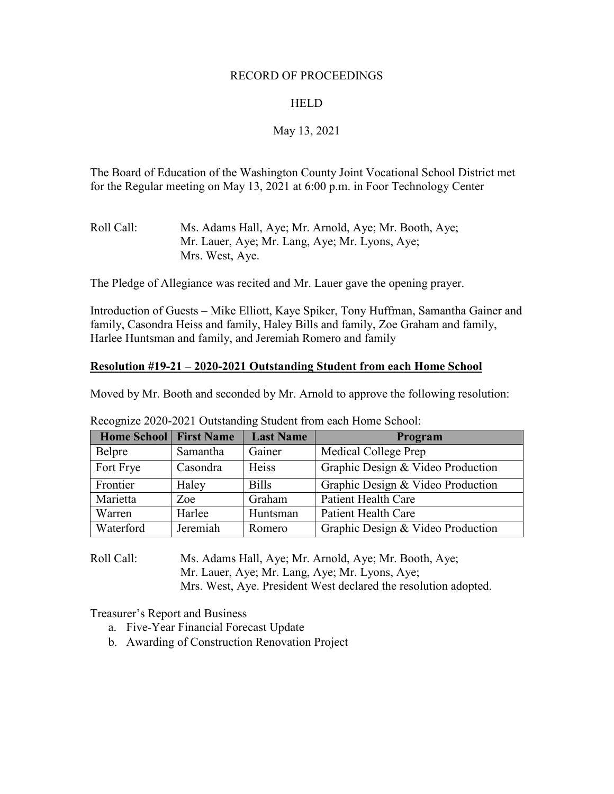### RECORD OF PROCEEDINGS

## HELD

# May 13, 2021

The Board of Education of the Washington County Joint Vocational School District met for the Regular meeting on May 13, 2021 at 6:00 p.m. in Foor Technology Center

| Roll Call: | Ms. Adams Hall, Aye; Mr. Arnold, Aye; Mr. Booth, Aye; |
|------------|-------------------------------------------------------|
|            | Mr. Lauer, Aye; Mr. Lang, Aye; Mr. Lyons, Aye;        |
|            | Mrs. West, Aye.                                       |

The Pledge of Allegiance was recited and Mr. Lauer gave the opening prayer.

Introduction of Guests – Mike Elliott, Kaye Spiker, Tony Huffman, Samantha Gainer and family, Casondra Heiss and family, Haley Bills and family, Zoe Graham and family, Harlee Huntsman and family, and Jeremiah Romero and family

### **Resolution #19-21 – 2020-2021 Outstanding Student from each Home School**

Moved by Mr. Booth and seconded by Mr. Arnold to approve the following resolution:

| <b>Home School First Name</b> |          | <b>Last Name</b> | Program                           |
|-------------------------------|----------|------------------|-----------------------------------|
| Belpre                        | Samantha | Gainer           | Medical College Prep              |
| Fort Frye                     | Casondra | Heiss            | Graphic Design & Video Production |
| Frontier                      | Haley    | <b>Bills</b>     | Graphic Design & Video Production |
| Marietta                      | Zoe      | Graham           | Patient Health Care               |
| Warren                        | Harlee   | Huntsman         | <b>Patient Health Care</b>        |
| Waterford                     | Jeremiah | Romero           | Graphic Design & Video Production |

Recognize 2020-2021 Outstanding Student from each Home School:

Roll Call: Ms. Adams Hall, Aye; Mr. Arnold, Aye; Mr. Booth, Aye; Mr. Lauer, Aye; Mr. Lang, Aye; Mr. Lyons, Aye; Mrs. West, Aye. President West declared the resolution adopted.

Treasurer's Report and Business

- a. Five-Year Financial Forecast Update
- b. Awarding of Construction Renovation Project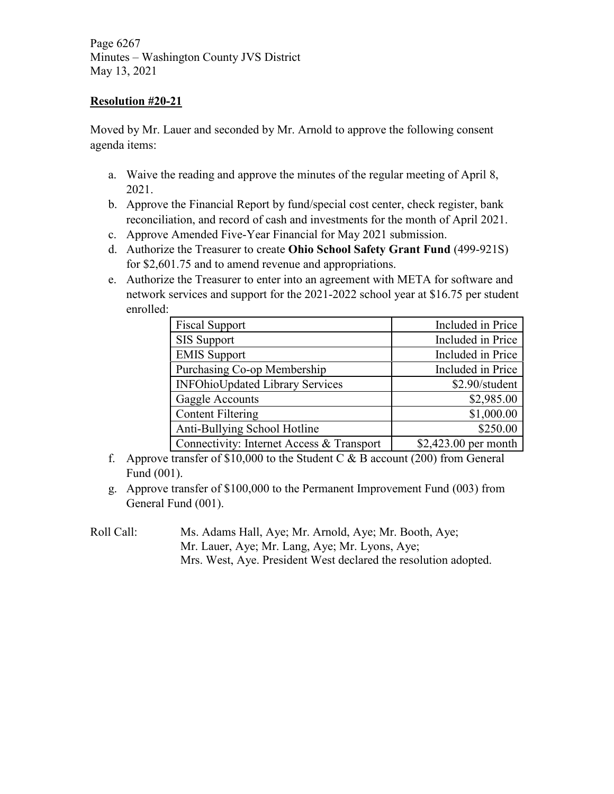Page 6267 Minutes – Washington County JVS District May 13, 2021

## **Resolution #20-21**

Moved by Mr. Lauer and seconded by Mr. Arnold to approve the following consent agenda items:

- a. Waive the reading and approve the minutes of the regular meeting of April 8, 2021.
- b. Approve the Financial Report by fund/special cost center, check register, bank reconciliation, and record of cash and investments for the month of April 2021.
- c. Approve Amended Five-Year Financial for May 2021 submission.
- d. Authorize the Treasurer to create **Ohio School Safety Grant Fund** (499-921S) for \$2,601.75 and to amend revenue and appropriations.
- e. Authorize the Treasurer to enter into an agreement with META for software and network services and support for the 2021-2022 school year at \$16.75 per student enrolled:

| <b>Fiscal Support</b>                     | Included in Price     |
|-------------------------------------------|-----------------------|
| <b>SIS Support</b>                        | Included in Price     |
| <b>EMIS Support</b>                       | Included in Price     |
| Purchasing Co-op Membership               | Included in Price     |
| <b>INFOhioUpdated Library Services</b>    | \$2.90/student        |
| Gaggle Accounts                           | \$2,985.00            |
| <b>Content Filtering</b>                  | \$1,000.00            |
| Anti-Bullying School Hotline              | \$250.00              |
| Connectivity: Internet Access & Transport | $$2,423.00$ per month |

- f. Approve transfer of \$10,000 to the Student C  $\&$  B account (200) from General Fund (001).
- g. Approve transfer of \$100,000 to the Permanent Improvement Fund (003) from General Fund (001).
- Roll Call: Ms. Adams Hall, Aye; Mr. Arnold, Aye; Mr. Booth, Aye; Mr. Lauer, Aye; Mr. Lang, Aye; Mr. Lyons, Aye; Mrs. West, Aye. President West declared the resolution adopted.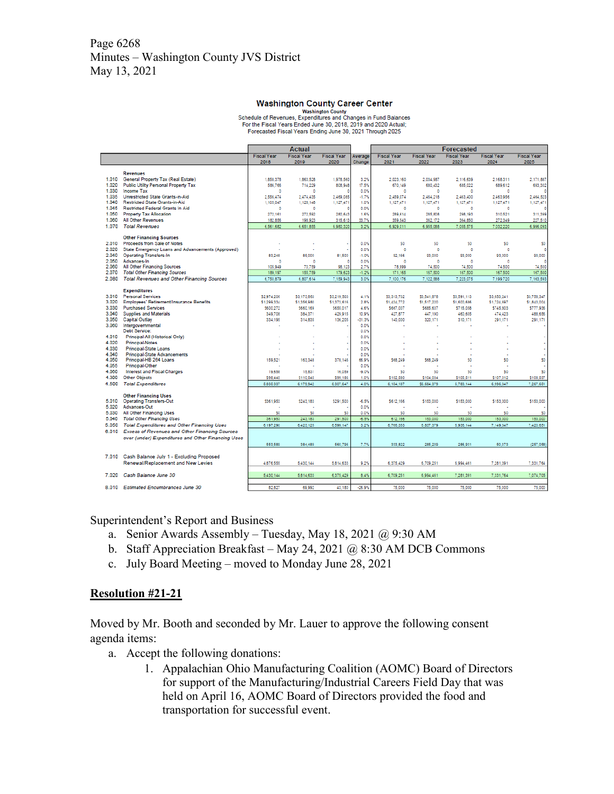## Page 6268 Minutes – Washington County JVS District May 13, 2021

#### **Washington County Career Center**

For the Fiscal Years Ended June 30, 2018, 2019 and 2020 Actual;<br>Forecasted Fiscal Years Ending June 30, 2021 Through 2025

|                |                                                            |                    | Actual             |                    |                 |                    |                    |                                         |                        |                    |
|----------------|------------------------------------------------------------|--------------------|--------------------|--------------------|-----------------|--------------------|--------------------|-----------------------------------------|------------------------|--------------------|
|                |                                                            | <b>Fiscal Year</b> | <b>Fiscal Year</b> | <b>Fiscal Year</b> | Average         | <b>Fiscal Year</b> | <b>Fiscal Year</b> | <b>Forecasted</b><br><b>Fiscal Year</b> | <b>Fiscal Year</b>     | <b>Fiscal Year</b> |
|                |                                                            | 2018               | 2019               | 2020               | Change          | 2021               | 2022               | 2023                                    | 2024                   | 2025               |
|                | <b>Revenues</b>                                            |                    |                    |                    |                 |                    |                    |                                         |                        |                    |
| 1.010          | General Property Tax (Real Estate)                         | 1.858.378          | 1.863.528          | 1.978.560          | 3.2%            | 2.023.160          | 2.034.987          | 2.116.639                               | 2.168.311              | 2.171,887          |
| 1.020          | <b>Public Utility Personal Property Tax</b>                | 586.766            | 714.229            | 808.948            | 17.5%           | 670.149            | 680.432            | 685.022                                 | 689.612                | 693,302            |
| 1.030          | <b>Income Tax</b>                                          | $\Omega$           | $\Omega$           |                    | 0.0%            | $\circ$            | $\Omega$           | n                                       | $\Omega$               | n                  |
| 1.035          | <b>Unrestricted State Grants-in-Aid</b>                    | 2.556.474          | 2.474.435          | 2.469.085          | $-1.7%$         | 2.459.074          | 2.464.218          | 2.463.400                               | 2.463.956              | 2.464.523          |
| 1.040          | Restricted State Grants-in-Aid                             | 1.105.047          | 1.128.148          | 1.127.471          | 1.0%            | 1.127.471          | 1.127.471          | 1.127.471                               | 1.127.471              | 1.127.471          |
| 1.045          | <b>Restricted Federal Grants In Aid</b>                    | ٥                  | $\theta$           |                    | 0.0%            | $\circ$            | o                  | o                                       | Đ                      |                    |
| 1.050          | <b>Property Tax Allocation</b>                             | 272.161            | 272.592            | 280,643            | 1.6%            | 289,614            | 285,808            | 298.193                                 | 310.521                | 311.399            |
| 1.060          | <b>All Other Revenues</b>                                  | 182.856            | 198.923            | 315.613            | 33.7%           | 359.543            | 362.172            | 364.850                                 | 272.349                | 227.510            |
| 1.070          | <b>Total Revenues</b>                                      | 6.561.682          | 6.651.855          | 6.980.320          | 3.2%            | 6.929.011          | 6.955.088          | 7.055.575                               | 7.032.220              | 6.996.093          |
|                | <b>Other Financing Sources</b>                             |                    |                    |                    |                 |                    |                    |                                         |                        |                    |
| 2.010          | Proceeds from Sale of Notes                                |                    |                    |                    | 0.0%            | S0                 | 50                 | 50                                      | 50                     | \$0                |
| 2.020          | State Emergency Loans and Advancements (Approved)          |                    |                    |                    | 0.0%            | $\circ$            | $\circ$            | $\bullet$                               | $\mathbf{D}$           |                    |
| 2.040          | <b>Operating Transfers-In</b>                              | 83.248             | 85,000             | 81,500             | $-1.0%$         | 92.166             | 93,000             | 93.000                                  | 93.000                 | 93.000             |
| 2.050          | Advances-In                                                | $\Omega$           | n                  |                    | 0.0%            | $\circ$            | ٥                  | o                                       | Ð                      | c                  |
| 2.060          | <b>All Other Financing Sources</b>                         | 105.949            | 70.759             | 98.123             | 2.7%            | 78.999             | 74,500             | 74,500                                  | 74,500                 | 74,500             |
| 2.070          | <b>Total Other Financing Sources</b>                       | 189.197            | 155.759            | 179.623            | $-1.2%$         | 171.165            | 167,500            | 167,500                                 | 167,500                | 167,500            |
| 2.080          | <b>Total Revenues and Other Financing Sources</b>          | 6.750.879          | 6.807.614          | 7.159.943          | 3.0%            | 7.100.176          | 7.122,588          | 7.223.075                               | 7.199.720              | 7.163.593          |
|                |                                                            |                    |                    |                    |                 |                    |                    |                                         |                        |                    |
| 3.010          | <b>Expenditures</b><br><b>Personal Services</b>            | \$2,974.206        | \$3.173.863        | \$3,219,503        | 4.1%            | \$3,313,702        | \$3,541,878        | \$3,591.113                             | 53.653.241             | \$3,758,347        |
| 3.020          | Employees' Retirement/Insurance Benefits                   | \$1,299.334        | \$1,356,980        | \$1,373,616        | 2.8%            | \$1,434,772        | \$1,517,220        | \$1,600,686                             | \$1,724,697            | \$1,843,004        |
| 3.030          | <b>Purchased Services</b>                                  | \$600.272          | \$660.169          | \$655,017          | 4.6%            | \$667,007          | \$685,637          | \$715.058                               | \$745,803              | \$777.936          |
| 3.040          | <b>Supplies and Materials</b>                              | 349,708            | 384.371            | 429.915            | 10.9%           | 427.877            | 447.190            | 460.605                                 | 474.423                | 488,656            |
| 3.050          | <b>Capital Outlay</b>                                      | 334.195            | 314,835            | 136,205            | $-31.3%$        | 140,000            | 320.171            | 310.171                                 | 291.171                | 291.171            |
| 3.060          | Intergovernmental                                          |                    |                    |                    | 0.0%            |                    |                    |                                         |                        |                    |
|                | <b>Debt Service:</b>                                       |                    |                    |                    | 0.0%            |                    |                    |                                         |                        |                    |
| 4.010          | Principal-All (Historical Only)                            |                    |                    |                    | 0.0%            |                    |                    |                                         |                        |                    |
| 4.020          | <b>Principal-Notes</b>                                     |                    |                    |                    | 0.0%            |                    |                    |                                         |                        |                    |
| 4.030          | <b>Principal-State Loans</b>                               |                    |                    |                    | 0.0%            |                    |                    |                                         |                        |                    |
| 4.040          | <b>Principal-State Advancements</b>                        |                    |                    |                    | 0.0%            |                    |                    |                                         |                        |                    |
| 4.050          | Principal-HB 264 Loans                                     | 159,521            | 163.348            | 378.146            | 66.9%           | \$68,249           | \$68,249           | 50                                      | 50                     | 50                 |
| 4.055<br>4.060 | Principal-Other                                            | 19,658             | 15.831             | 16.059             | 0.0%<br>$-9.0%$ | S0                 | 50                 | 50                                      | 50                     |                    |
| 4.300          | <b>Interest and Fiscal Charges</b><br><b>Other Objects</b> | 598,443            | \$110,545          | \$99,186           | 1.0%            | \$102,580          | \$104,034          | \$105,511                               |                        | 50<br>\$108,537    |
| 4.500          | <b>Total Expenditures</b>                                  | 5.835.337          | 6.179.942          | 6.307.647          | 4.0%            | 6.154.187          | \$6,684.379        | 6.783.144                               | \$107,012<br>6.996.347 | 7.267.651          |
|                |                                                            |                    |                    |                    |                 |                    |                    |                                         |                        |                    |
|                | <b>Other Financing Uses</b>                                |                    |                    |                    |                 |                    |                    |                                         |                        |                    |
| 5.010          | <b>Operating Transfers-Out</b>                             | \$361.953          | \$243.183          | \$291,500          | $-6.5%$         | \$612.166          | \$153,000          | \$153,000                               | \$153,000              | \$153,000          |
| 5.020          | Advances-Out                                               |                    |                    |                    | 0.0%            |                    | ä,                 |                                         |                        |                    |
| 5.030          | All Other Financing Uses                                   | 50                 | 50                 | 50                 | 0.0%            | 50                 | 50                 | 50                                      | 50                     | 50                 |
| 5.040          | <b>Total Other Financing Uses</b>                          | 361.953            | 243.183            | 291.500            | $-6.5%$         | 612.166            | 153,000            | 153,000                                 | 153,000                | 153,000            |
| 5.050          | <b>Total Expenditures and Other Financing Uses</b>         | 6.197.290          | 6.423.125          | 6.599.147          | 3.2%            | 6.766.353          | 6.837.379          | 6.936.144                               | 7.149.347              | 7,420,651          |
| 6.010          | <b>Excess of Revenues and Other Financing Sources</b>      |                    |                    |                    |                 |                    |                    |                                         |                        |                    |
|                | over (under) Expenditures and Other Financing Uses         |                    |                    |                    |                 |                    |                    |                                         |                        |                    |
|                |                                                            | 553.589            | 384.489            | 560.796            | 7.7%            | 333.822            | 285.209            | 286.931                                 | 50.373                 | (257.058)          |
|                |                                                            |                    |                    |                    |                 |                    |                    |                                         |                        |                    |
|                | 7.010 Cash Balance July 1 - Excluding Proposed             |                    |                    |                    |                 |                    |                    |                                         |                        |                    |
|                | Renewal/Replacement and New Levies                         | 4,876,555          | 5,430,144          | 5.814.633          | 9.2%            | 6,375,429          | 6,709.251          | 6.994.461                               | 7.281.391              | 7.331.764          |
| 7.020          | Cash Balance June 30                                       | 5.430.144          | 5.814.633          | 6.375.429          | 8.4%            |                    | 6.994.461          | 7.281.391                               | 7.331.764              |                    |
|                |                                                            |                    |                    |                    |                 | 6,709,251          |                    |                                         |                        | 7,074,705          |
|                | 8.010 Estimated Encumbrances June 30                       | 82.827             | 69.992             | 43.180             | $-26.9%$        | 75,000             | 75,000             | 75,000                                  | 75,000                 | 75,000             |

Superintendent's Report and Business

- a. Senior Awards Assembly Tuesday, May 18, 2021 @ 9:30 AM
- b. Staff Appreciation Breakfast May 24, 2021  $\omega$  8:30 AM DCB Commons
- c. July Board Meeting moved to Monday June 28, 2021

### **Resolution #21-21**

Moved by Mr. Booth and seconded by Mr. Lauer to approve the following consent agenda items:

- a. Accept the following donations:
	- 1. Appalachian Ohio Manufacturing Coalition (AOMC) Board of Directors for support of the Manufacturing/Industrial Careers Field Day that was held on April 16, AOMC Board of Directors provided the food and transportation for successful event.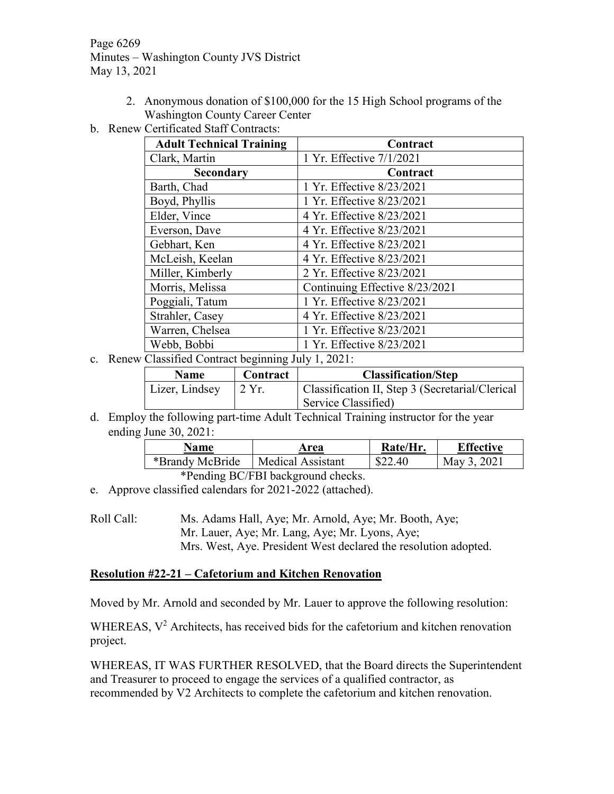Page 6269 Minutes – Washington County JVS District May 13, 2021

- 2. Anonymous donation of \$100,000 for the 15 High School programs of the Washington County Career Center
- b. Renew Certificated Staff Contracts:

| <b>Adult Technical Training</b> | Contract                       |
|---------------------------------|--------------------------------|
| Clark, Martin                   | 1 Yr. Effective 7/1/2021       |
| Secondary                       | Contract                       |
| Barth, Chad                     | 1 Yr. Effective 8/23/2021      |
| Boyd, Phyllis                   | 1 Yr. Effective 8/23/2021      |
| Elder, Vince                    | 4 Yr. Effective 8/23/2021      |
| Everson, Dave                   | 4 Yr. Effective 8/23/2021      |
| Gebhart, Ken                    | 4 Yr. Effective 8/23/2021      |
| McLeish, Keelan                 | 4 Yr. Effective 8/23/2021      |
| Miller, Kimberly                | 2 Yr. Effective 8/23/2021      |
| Morris, Melissa                 | Continuing Effective 8/23/2021 |
| Poggiali, Tatum                 | 1 Yr. Effective 8/23/2021      |
| Strahler, Casey                 | 4 Yr. Effective 8/23/2021      |
| Warren, Chelsea                 | 1 Yr. Effective 8/23/2021      |
| Webb, Bobbi                     | 1 Yr. Effective 8/23/2021      |

c. Renew Classified Contract beginning July 1, 2021:

| <b>Name</b>    | Contract                 | <b>Classification/Step</b>                      |
|----------------|--------------------------|-------------------------------------------------|
| Lizer, Lindsey | $\frac{12 \text{Yr}}{2}$ | Classification II, Step 3 (Secretarial/Clerical |
|                |                          | Service Classified)                             |

d. Employ the following part-time Adult Technical Training instructor for the year ending June 30, 2021:

| Name                                  | Area              | Rate/Hr. | <b>Effective</b> |  |  |
|---------------------------------------|-------------------|----------|------------------|--|--|
| *Brandy McBride                       | Medical Assistant | \$22.40  | May 3, 2021      |  |  |
| $\star$ n 1' n $\alpha$ /Fnt1 1 1 1 1 |                   |          |                  |  |  |

\*Pending BC/FBI background checks.

e. Approve classified calendars for 2021-2022 (attached).

Roll Call: Ms. Adams Hall, Aye; Mr. Arnold, Aye; Mr. Booth, Aye; Mr. Lauer, Aye; Mr. Lang, Aye; Mr. Lyons, Aye; Mrs. West, Aye. President West declared the resolution adopted.

### **Resolution #22-21 – Cafetorium and Kitchen Renovation**

Moved by Mr. Arnold and seconded by Mr. Lauer to approve the following resolution:

WHEREAS, V<sup>2</sup> Architects, has received bids for the cafetorium and kitchen renovation project.

WHEREAS, IT WAS FURTHER RESOLVED, that the Board directs the Superintendent and Treasurer to proceed to engage the services of a qualified contractor, as recommended by V2 Architects to complete the cafetorium and kitchen renovation.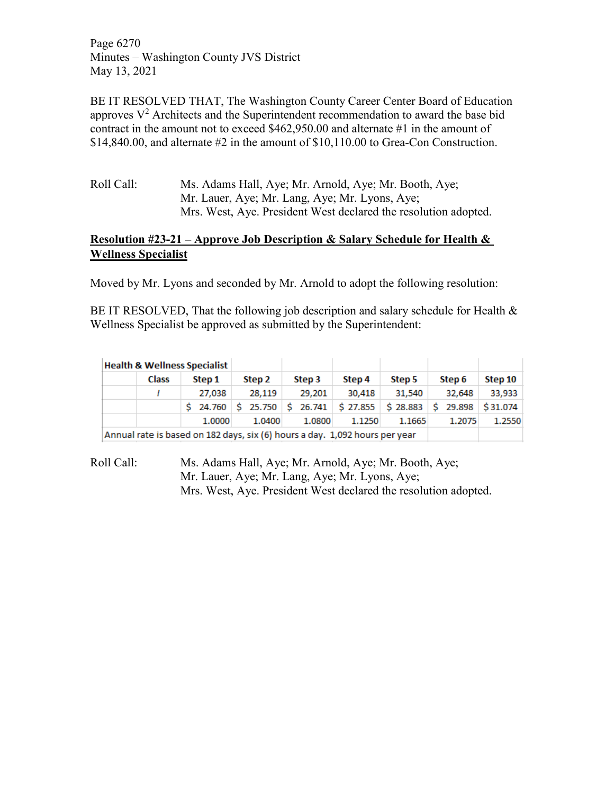Page 6270 Minutes – Washington County JVS District May 13, 2021

BE IT RESOLVED THAT, The Washington County Career Center Board of Education approves  $V^2$  Architects and the Superintendent recommendation to award the base bid contract in the amount not to exceed \$462,950.00 and alternate #1 in the amount of \$14,840.00, and alternate #2 in the amount of \$10,110.00 to Grea-Con Construction.

Roll Call: Ms. Adams Hall, Aye; Mr. Arnold, Aye; Mr. Booth, Aye; Mr. Lauer, Aye; Mr. Lang, Aye; Mr. Lyons, Aye; Mrs. West, Aye. President West declared the resolution adopted.

# **Resolution #23-21 – Approve Job Description & Salary Schedule for Health & Wellness Specialist**

Moved by Mr. Lyons and seconded by Mr. Arnold to adopt the following resolution:

BE IT RESOLVED, That the following job description and salary schedule for Health  $\&$ Wellness Specialist be approved as submitted by the Superintendent:

| <b>Health &amp; Wellness Specialist</b> |                                                                             |        |        |                                                                                                                                                    |        |        |        |         |  |
|-----------------------------------------|-----------------------------------------------------------------------------|--------|--------|----------------------------------------------------------------------------------------------------------------------------------------------------|--------|--------|--------|---------|--|
|                                         | <b>Class</b><br>Step 1                                                      |        | Step 2 | Step 3                                                                                                                                             | Step 4 | Step 5 | Step 6 | Step 10 |  |
|                                         |                                                                             | 27.038 | 28.119 | 29,201                                                                                                                                             | 30,418 | 31,540 | 32,648 | 33,933  |  |
|                                         |                                                                             |        |        | $\frac{1}{2}$ 24.760 $\frac{1}{2}$ 25.750 $\frac{1}{2}$ 26.741 $\frac{1}{2}$ 27.855 $\frac{1}{2}$ 28.883 $\frac{1}{2}$ 29.898 $\frac{1}{2}$ 31.074 |        |        |        |         |  |
|                                         |                                                                             | 1.0000 | 1.0400 | 1.0800                                                                                                                                             | 1.1250 | 1.1665 | 1.2075 | 1.2550  |  |
|                                         | Annual rate is based on 182 days, six (6) hours a day. 1,092 hours per year |        |        |                                                                                                                                                    |        |        |        |         |  |

Roll Call: Ms. Adams Hall, Aye; Mr. Arnold, Aye; Mr. Booth, Aye; Mr. Lauer, Aye; Mr. Lang, Aye; Mr. Lyons, Aye; Mrs. West, Aye. President West declared the resolution adopted.